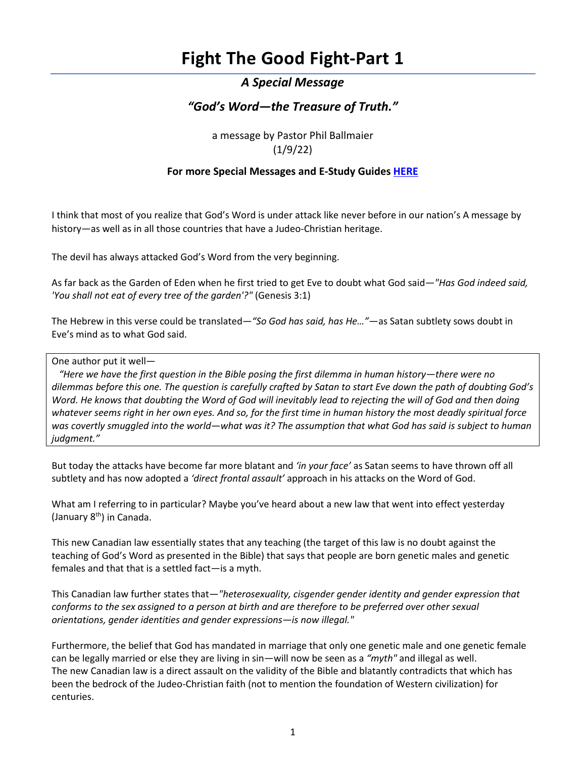# **Fight The Good Fight-Part 1**

# *A Special Message*

# *"God's Word—the Treasure of Truth."*

a message by Pastor Phil Ballmaier (1/9/22)

# **For more Special Messages and E-Study Guides [HERE](https://www.ccelkgrove.org/special-messages/)**

I think that most of you realize that God's Word is under attack like never before in our nation's A message by history—as well as in all those countries that have a Judeo-Christian heritage.

The devil has always attacked God's Word from the very beginning.

As far back as the Garden of Eden when he first tried to get Eve to doubt what God said—*"Has God indeed said, 'You shall not eat of every tree of the garden'?"* (Genesis 3:1)

The Hebrew in this verse could be translated*—"So God has said, has He…"*—as Satan subtlety sows doubt in Eve's mind as to what God said.

# One author put it well—

 *"Here we have the first question in the Bible posing the first dilemma in human history—there were no dilemmas before this one. The question is carefully crafted by Satan to start Eve down the path of doubting God's Word. He knows that doubting the Word of God will inevitably lead to rejecting the will of God and then doing whatever seems right in her own eyes. And so, for the first time in human history the most deadly spiritual force*  was covertly smuggled into the world—what was it? The assumption that what God has said is subject to human *judgment."*

But today the attacks have become far more blatant and *'in your face'* as Satan seems to have thrown off all subtlety and has now adopted a *'direct frontal assault'* approach in his attacks on the Word of God.

What am I referring to in particular? Maybe you've heard about a new law that went into effect yesterday (January 8<sup>th</sup>) in Canada.

This new Canadian law essentially states that any teaching (the target of this law is no doubt against the teaching of God's Word as presented in the Bible) that says that people are born genetic males and genetic females and that that is a settled fact—is a myth.

This Canadian law further states that—*"heterosexuality, cisgender gender identity and gender expression that conforms to the sex assigned to a person at birth and are therefore to be preferred over other sexual orientations, gender identities and gender expressions—is now illegal."*

Furthermore, the belief that God has mandated in marriage that only one genetic male and one genetic female can be legally married or else they are living in sin—will now be seen as a *"myth"* and illegal as well. The new Canadian law is a direct assault on the validity of the Bible and blatantly contradicts that which has been the bedrock of the Judeo-Christian faith (not to mention the foundation of Western civilization) for centuries.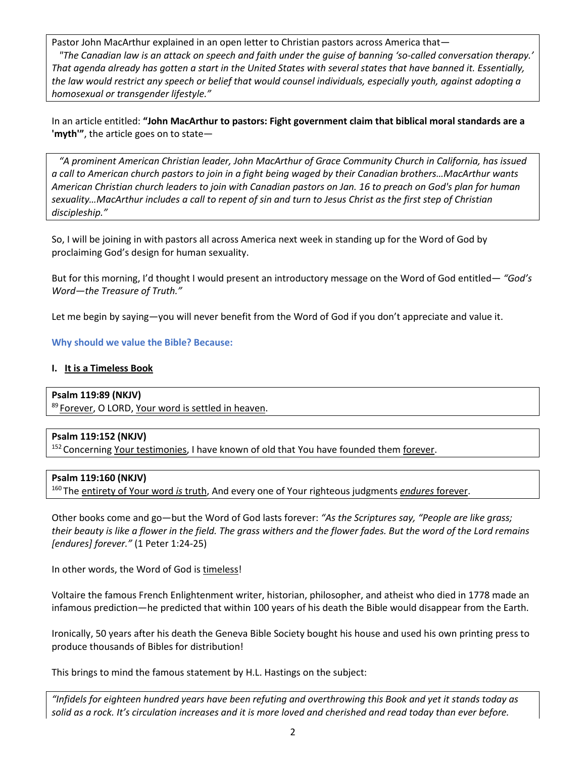Pastor John MacArthur explained in an open letter to Christian pastors across America that—  *"The Canadian law is an attack on speech and faith under the guise of banning 'so-called conversation therapy.' That agenda already has gotten a start in the United States with several states that have banned it. Essentially, the law would restrict any speech or belief that would counsel individuals, especially youth, against adopting a homosexual or transgender lifestyle."*

In an article entitled: **"John MacArthur to pastors: Fight government claim that biblical moral standards are a 'myth'"**, the article goes on to state—

 *"A prominent American Christian leader, John MacArthur of Grace Community Church in California, has issued a call to American church pastors to join in a fight being waged by their Canadian brothers…MacArthur wants American Christian church leaders to join with Canadian pastors on Jan. 16 to preach on God's plan for human sexuality…MacArthur includes a call to repent of sin and turn to Jesus Christ as the first step of Christian discipleship."*

So, I will be joining in with pastors all across America next week in standing up for the Word of God by proclaiming God's design for human sexuality.

But for this morning, I'd thought I would present an introductory message on the Word of God entitled— *"God's Word—the Treasure of Truth."*

Let me begin by saying—you will never benefit from the Word of God if you don't appreciate and value it.

# **Why should we value the Bible? Because:**

# **I. It is a Timeless Book**

# **Psalm 119:89 (NKJV)**

89 Forever, O LORD, Your word is settled in heaven.

# **Psalm 119:152 (NKJV)**

<sup>152</sup> Concerning Your testimonies, I have known of old that You have founded them forever.

# **Psalm 119:160 (NKJV)**

160 The entirety of Your word *is* truth, And every one of Your righteous judgments *endures* forever.

Other books come and go—but the Word of God lasts forever: *"As the Scriptures say, "People are like grass; their beauty is like a flower in the field. The grass withers and the flower fades. But the word of the Lord remains [endures] forever."* (1 Peter 1:24-25)

In other words, the Word of God is timeless!

Voltaire the famous French Enlightenment writer, historian, philosopher, and atheist who died in 1778 made an infamous prediction—he predicted that within 100 years of his death the Bible would disappear from the Earth.

Ironically, 50 years after his death the Geneva Bible Society bought his house and used his own printing press to produce thousands of Bibles for distribution!

This brings to mind the famous statement by H.L. Hastings on the subject:

*"Infidels for eighteen hundred years have been refuting and overthrowing this Book and yet it stands today as solid as a rock. It's circulation increases and it is more loved and cherished and read today than ever before.*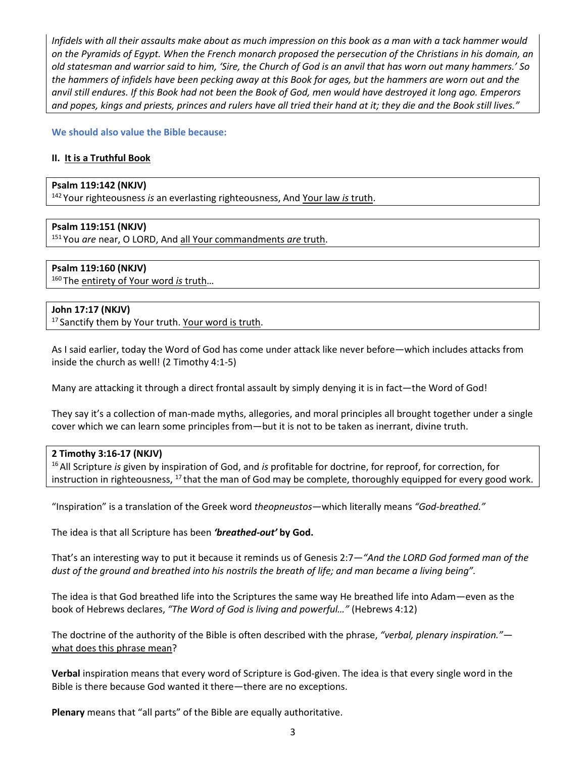*Infidels with all their assaults make about as much impression on this book as a man with a tack hammer would on the Pyramids of Egypt. When the French monarch proposed the persecution of the Christians in his domain, an old statesman and warrior said to him, 'Sire, the Church of God is an anvil that has worn out many hammers.' So the hammers of infidels have been pecking away at this Book for ages, but the hammers are worn out and the anvil still endures. If this Book had not been the Book of God, men would have destroyed it long ago. Emperors and popes, kings and priests, princes and rulers have all tried their hand at it; they die and the Book still lives."* 

**We should also value the Bible because:**

# **II. It is a Truthful Book**

# **Psalm 119:142 (NKJV)**

142 Your righteousness *is* an everlasting righteousness, And Your law *is* truth.

#### **Psalm 119:151 (NKJV)**

151 You *are* near, O LORD, And all Your commandments *are* truth.

# **Psalm 119:160 (NKJV)**

160 The entirety of Your word *is* truth…

#### **John 17:17 (NKJV)**

 $17$  Sanctify them by Your truth. Your word is truth.

As I said earlier, today the Word of God has come under attack like never before—which includes attacks from inside the church as well! (2 Timothy 4:1-5)

Many are attacking it through a direct frontal assault by simply denying it is in fact—the Word of God!

They say it's a collection of man-made myths, allegories, and moral principles all brought together under a single cover which we can learn some principles from—but it is not to be taken as inerrant, divine truth.

#### **2 Timothy 3:16-17 (NKJV)**

16 All Scripture *is* given by inspiration of God, and *is* profitable for doctrine, for reproof, for correction, for instruction in righteousness,  $17$  that the man of God may be complete, thoroughly equipped for every good work.

"Inspiration" is a translation of the Greek word *theopneustos*—which literally means *"God-breathed."*

The idea is that all Scripture has been *'breathed-out'* **by God.**

That's an interesting way to put it because it reminds us of Genesis 2:7—*"And the LORD God formed man of the dust of the ground and breathed into his nostrils the breath of life; and man became a living being".*

The idea is that God breathed life into the Scriptures the same way He breathed life into Adam—even as the book of Hebrews declares, *"The Word of God is living and powerful…"* (Hebrews 4:12)

The doctrine of the authority of the Bible is often described with the phrase, *"verbal, plenary inspiration."* what does this phrase mean?

**Verbal** inspiration means that every word of Scripture is God-given. The idea is that every single word in the Bible is there because God wanted it there—there are no exceptions.

**Plenary** means that "all parts" of the Bible are equally authoritative.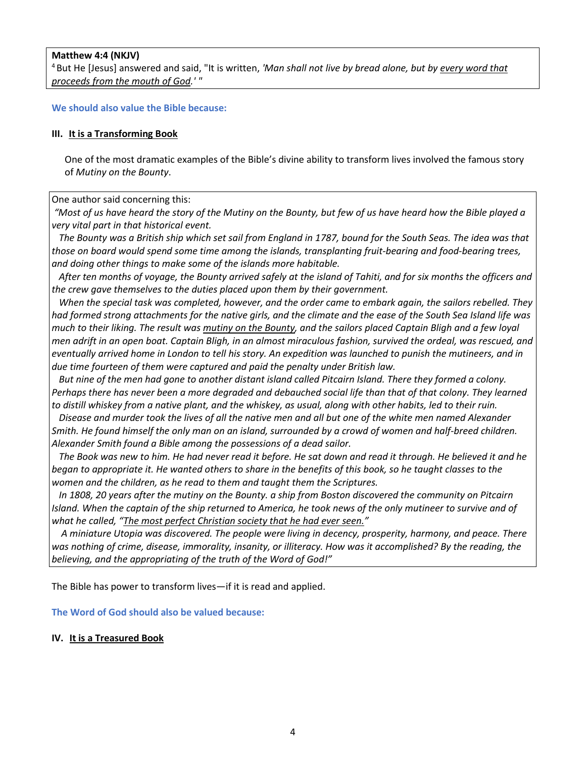# **Matthew 4:4 (NKJV)**

4 But He [Jesus] answered and said, "It is written, *'Man shall not live by bread alone, but by every word that proceeds from the mouth of God.' "*

**We should also value the Bible because:**

#### **III. It is a Transforming Book**

One of the most dramatic examples of the Bible's divine ability to transform lives involved the famous story of *Mutiny on the Bounty*.

One author said concerning this:

*"Most of us have heard the story of the Mutiny on the Bounty, but few of us have heard how the Bible played a very vital part in that historical event.* 

 *The Bounty was a British ship which set sail from England in 1787, bound for the South Seas. The idea was that those on board would spend some time among the islands, transplanting fruit-bearing and food-bearing trees, and doing other things to make some of the islands more habitable.* 

 *After ten months of voyage, the Bounty arrived safely at the island of Tahiti, and for six months the officers and the crew gave themselves to the duties placed upon them by their government.*

 *When the special task was completed, however, and the order came to embark again, the sailors rebelled. They had formed strong attachments for the native girls, and the climate and the ease of the South Sea Island life was much to their liking. The result was mutiny on the Bounty, and the sailors placed Captain Bligh and a few loyal men adrift in an open boat. Captain Bligh, in an almost miraculous fashion, survived the ordeal, was rescued, and eventually arrived home in London to tell his story. An expedition was launched to punish the mutineers, and in due time fourteen of them were captured and paid the penalty under British law.*

 *But nine of the men had gone to another distant island called Pitcairn Island. There they formed a colony. Perhaps there has never been a more degraded and debauched social life than that of that colony. They learned to distill whiskey from a native plant, and the whiskey, as usual, along with other habits, led to their ruin.* 

 *Disease and murder took the lives of all the native men and all but one of the white men named Alexander Smith. He found himself the only man on an island, surrounded by a crowd of women and half-breed children. Alexander Smith found a Bible among the possessions of a dead sailor.* 

 *The Book was new to him. He had never read it before. He sat down and read it through. He believed it and he began to appropriate it. He wanted others to share in the benefits of this book, so he taught classes to the women and the children, as he read to them and taught them the Scriptures.*

 *In 1808, 20 years after the mutiny on the Bounty. a ship from Boston discovered the community on Pitcairn Island. When the captain of the ship returned to America, he took news of the only mutineer to survive and of what he called, "The most perfect Christian society that he had ever seen."* 

 *A miniature Utopia was discovered. The people were living in decency, prosperity, harmony, and peace. There*  was nothing of crime, disease, immorality, insanity, or illiteracy. How was it accomplished? By the reading, the *believing, and the appropriating of the truth of the Word of God!"*

The Bible has power to transform lives—if it is read and applied.

**The Word of God should also be valued because:** 

# **IV. It is a Treasured Book**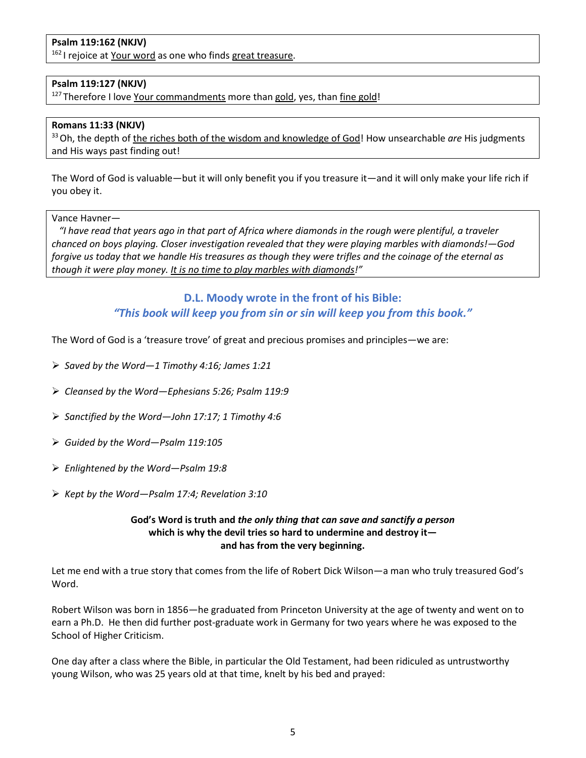# **Psalm 119:162 (NKJV)**

 $162$  I rejoice at Your word as one who finds great treasure.

### **Psalm 119:127 (NKJV)**

<sup>127</sup> Therefore I love Your commandments more than gold, yes, than fine gold!

# **Romans 11:33 (NKJV)**

33 Oh, the depth of the riches both of the wisdom and knowledge of God! How unsearchable *are* His judgments and His ways past finding out!

The Word of God is valuable—but it will only benefit you if you treasure it—and it will only make your life rich if you obey it.

#### Vance Havner—

 *"I have read that years ago in that part of Africa where diamonds in the rough were plentiful, a traveler chanced on boys playing. Closer investigation revealed that they were playing marbles with diamonds!—God forgive us today that we handle His treasures as though they were trifles and the coinage of the eternal as though it were play money. It is no time to play marbles with diamonds!"*

# **D.L. Moody wrote in the front of his Bible:** *"This book will keep you from sin or sin will keep you from this book."*

The Word of God is a 'treasure trove' of great and precious promises and principles—we are:

- *Saved by the Word—1 Timothy 4:16; James 1:21*
- *Cleansed by the Word—Ephesians 5:26; Psalm 119:9*
- *Sanctified by the Word—John 17:17; 1 Timothy 4:6*
- *Guided by the Word—Psalm 119:105*
- *Enlightened by the Word—Psalm 19:8*
- *Kept by the Word—Psalm 17:4; Revelation 3:10*

# **God's Word is truth and** *the only thing that can save and sanctify a person* **which is why the devil tries so hard to undermine and destroy it and has from the very beginning.**

Let me end with a true story that comes from the life of Robert Dick Wilson—a man who truly treasured God's Word.

Robert Wilson was born in 1856—he graduated from Princeton University at the age of twenty and went on to earn a Ph.D. He then did further post-graduate work in Germany for two years where he was exposed to the School of Higher Criticism.

One day after a class where the Bible, in particular the Old Testament, had been ridiculed as untrustworthy young Wilson, who was 25 years old at that time, knelt by his bed and prayed: